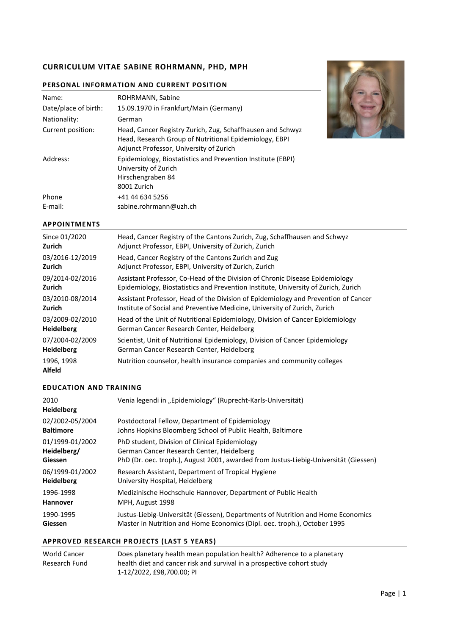# **CURRICULUM VITAE SABINE ROHRMANN, PHD, MPH**

| Name:                | ROHRMANN, Sabine                                                                                                                                                |
|----------------------|-----------------------------------------------------------------------------------------------------------------------------------------------------------------|
| Date/place of birth: | 15.09.1970 in Frankfurt/Main (Germany)                                                                                                                          |
| Nationality:         | German                                                                                                                                                          |
| Current position:    | Head, Cancer Registry Zurich, Zug, Schaffhausen and Schwyz<br>Head, Research Group of Nutritional Epidemiology, EBPI<br>Adjunct Professor, University of Zurich |
| Address:             | Epidemiology, Biostatistics and Prevention Institute (EBPI)<br>University of Zurich<br>Hirschengraben 84<br>8001 Zurich                                         |
| Phone<br>E-mail:     | +41 44 634 5256<br>sabine.rohrmann@uzh.ch                                                                                                                       |

## **PERSONAL INFORMATION AND CURRENT POSITION**



## **APPOINTMENTS**

| Since 01/2020        | Head, Cancer Registry of the Cantons Zurich, Zug, Schaffhausen and Schwyz          |
|----------------------|------------------------------------------------------------------------------------|
| Zurich               | Adjunct Professor, EBPI, University of Zurich, Zurich                              |
| 03/2016-12/2019      | Head, Cancer Registry of the Cantons Zurich and Zug                                |
| Zurich               | Adjunct Professor, EBPI, University of Zurich, Zurich                              |
| 09/2014-02/2016      | Assistant Professor, Co-Head of the Division of Chronic Disease Epidemiology       |
| Zurich               | Epidemiology, Biostatistics and Prevention Institute, University of Zurich, Zurich |
| 03/2010-08/2014      | Assistant Professor, Head of the Division of Epidemiology and Prevention of Cancer |
| Zurich               | Institute of Social and Preventive Medicine, University of Zurich, Zurich          |
| 03/2009-02/2010      | Head of the Unit of Nutritional Epidemiology, Division of Cancer Epidemiology      |
| <b>Heidelberg</b>    | German Cancer Research Center, Heidelberg                                          |
| 07/2004-02/2009      | Scientist, Unit of Nutritional Epidemiology, Division of Cancer Epidemiology       |
| <b>Heidelberg</b>    | German Cancer Research Center, Heidelberg                                          |
| 1996, 1998<br>Alfeld | Nutrition counselor, health insurance companies and community colleges             |

#### **EDUCATION AND TRAINING**

| 2010<br><b>Heidelberg</b> | Venia legendi in "Epidemiology" (Ruprecht-Karls-Universität)                         |
|---------------------------|--------------------------------------------------------------------------------------|
| 02/2002-05/2004           | Postdoctoral Fellow, Department of Epidemiology                                      |
| <b>Baltimore</b>          | Johns Hopkins Bloomberg School of Public Health, Baltimore                           |
| 01/1999-01/2002           | PhD student, Division of Clinical Epidemiology                                       |
| Heidelberg/               | German Cancer Research Center, Heidelberg                                            |
| <b>Giessen</b>            | PhD (Dr. oec. troph.), August 2001, awarded from Justus-Liebig-Universität (Giessen) |
| 06/1999-01/2002           | Research Assistant, Department of Tropical Hygiene                                   |
| <b>Heidelberg</b>         | University Hospital, Heidelberg                                                      |
| 1996-1998                 | Medizinische Hochschule Hannover, Department of Public Health                        |
| <b>Hannover</b>           | MPH, August 1998                                                                     |
| 1990-1995                 | Justus-Liebig-Universität (Giessen), Departments of Nutrition and Home Economics     |
| <b>Giessen</b>            | Master in Nutrition and Home Economics (Dipl. oec. troph.), October 1995             |

# **APPROVED RESEARCH PROJECTS (LAST 5 YEARS)**

| World Cancer  | Does planetary health mean population health? Adherence to a planetary |
|---------------|------------------------------------------------------------------------|
| Research Fund | health diet and cancer risk and survival in a prospective cohort study |
|               | 1-12/2022. £98.700.00: PI                                              |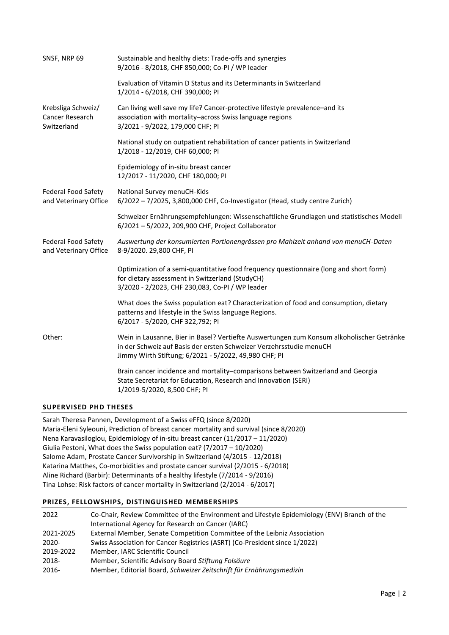| SNSF, NRP 69                                                | Sustainable and healthy diets: Trade-offs and synergies<br>9/2016 - 8/2018, CHF 850,000; Co-PI / WP leader                                                                                                                |
|-------------------------------------------------------------|---------------------------------------------------------------------------------------------------------------------------------------------------------------------------------------------------------------------------|
|                                                             | Evaluation of Vitamin D Status and its Determinants in Switzerland<br>1/2014 - 6/2018, CHF 390,000; PI                                                                                                                    |
| Krebsliga Schweiz/<br><b>Cancer Research</b><br>Switzerland | Can living well save my life? Cancer-protective lifestyle prevalence-and its<br>association with mortality-across Swiss language regions<br>3/2021 - 9/2022, 179,000 CHF; PI                                              |
|                                                             | National study on outpatient rehabilitation of cancer patients in Switzerland<br>1/2018 - 12/2019, CHF 60,000; PI                                                                                                         |
|                                                             | Epidemiology of in-situ breast cancer<br>12/2017 - 11/2020, CHF 180,000; PI                                                                                                                                               |
| <b>Federal Food Safety</b><br>and Veterinary Office         | National Survey menuCH-Kids<br>6/2022 - 7/2025, 3,800,000 CHF, Co-Investigator (Head, study centre Zurich)                                                                                                                |
|                                                             | Schweizer Ernährungsempfehlungen: Wissenschaftliche Grundlagen und statistisches Modell<br>6/2021 - 5/2022, 209,900 CHF, Project Collaborator                                                                             |
| <b>Federal Food Safety</b><br>and Veterinary Office         | Auswertung der konsumierten Portionengrössen pro Mahlzeit anhand von menuCH-Daten<br>8-9/2020. 29,800 CHF, PI                                                                                                             |
|                                                             | Optimization of a semi-quantitative food frequency questionnaire (long and short form)<br>for dietary assessment in Switzerland (StudyCH)<br>3/2020 - 2/2023, CHF 230,083, Co-PI / WP leader                              |
|                                                             | What does the Swiss population eat? Characterization of food and consumption, dietary<br>patterns and lifestyle in the Swiss language Regions.<br>6/2017 - 5/2020, CHF 322,792; PI                                        |
| Other:                                                      | Wein in Lausanne, Bier in Basel? Vertiefte Auswertungen zum Konsum alkoholischer Getränke<br>in der Schweiz auf Basis der ersten Schweizer Verzehrsstudie menuCH<br>Jimmy Wirth Stiftung; 6/2021 - 5/2022, 49,980 CHF; PI |
|                                                             | Brain cancer incidence and mortality-comparisons between Switzerland and Georgia<br>State Secretariat for Education, Research and Innovation (SERI)<br>1/2019-5/2020, 8,500 CHF; PI                                       |
|                                                             |                                                                                                                                                                                                                           |

## **SUPERVISED PHD THESES**

Sarah Theresa Pannen, Development of a Swiss eFFQ (since 8/2020) Maria-Eleni Syleouni, Prediction of breast cancer mortality and survival (since 8/2020) Nena Karavasiloglou, Epidemiology of in-situ breast cancer (11/2017 – 11/2020) Giulia Pestoni, What does the Swiss population eat? (7/2017 – 10/2020) Salome Adam, Prostate Cancer Survivorship in Switzerland (4/2015 - 12/2018) Katarina Matthes, Co-morbidities and prostate cancer survival (2/2015 - 6/2018) Aline Richard (Barbir): Determinants of a healthy lifestyle (7/2014 - 9/2016) Tina Lohse: Risk factors of cancer mortality in Switzerland (2/2014 - 6/2017)

#### **PRIZES, FELLOWSHIPS, DISTINGUISHED MEMBERSHIPS**

| 2022      | Co-Chair, Review Committee of the Environment and Lifestyle Epidemiology (ENV) Branch of the |
|-----------|----------------------------------------------------------------------------------------------|
|           | International Agency for Research on Cancer (IARC)                                           |
| 2021-2025 | External Member, Senate Competition Committee of the Leibniz Association                     |
| $2020 -$  | Swiss Association for Cancer Registries (ASRT) (Co-President since 1/2022)                   |
| 2019-2022 | Member, IARC Scientific Council                                                              |
| 2018-     | Member, Scientific Advisory Board Stiftung Folsäure                                          |
| 2016-     | Member, Editorial Board, Schweizer Zeitschrift für Ernährungsmedizin                         |